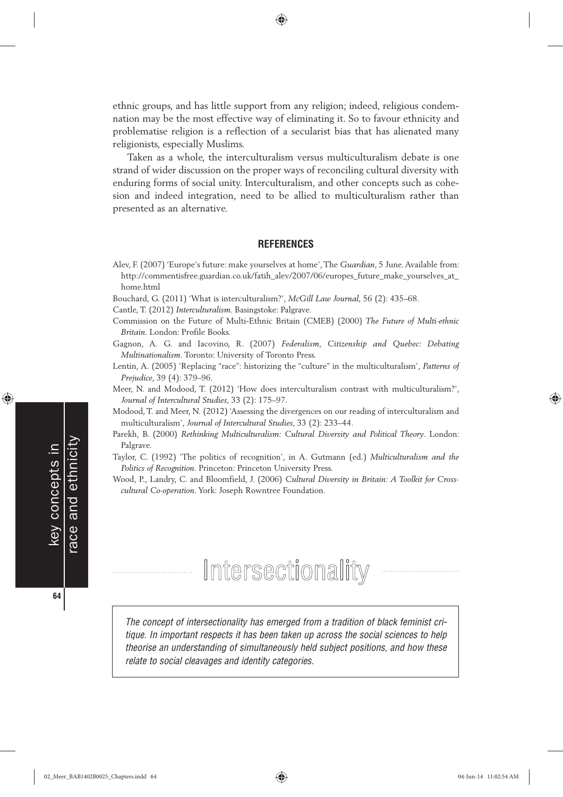ethnic groups, and has little support from any religion; indeed, religious condemnation may be the most effective way of eliminating it. So to favour ethnicity and problematise religion is a reflection of a secularist bias that has alienated many religionists, especially Muslims.

◈

Taken as a whole, the interculturalism versus multiculturalism debate is one strand of wider discussion on the proper ways of reconciling cultural diversity with enduring forms of social unity. Interculturalism, and other concepts such as cohesion and indeed integration, need to be allied to multiculturalism rather than presented as an alternative.

### **REFERENCES**

Alev, F. (2007) 'Europe's future: make yourselves at home', The *Guardian*, 5 June. Available from: http://commentisfree.guardian.co.uk/fatih\_alev/2007/06/europes\_future\_make\_yourselves\_at\_ home.html

Bouchard, G. (2011) 'What is interculturalism?', *McGill Law Journal*, 56 (2): 435–68.

Cantle, T. (2012) *Interculturalism*. Basingstoke: Palgrave.

Commission on the Future of Multi-Ethnic Britain (CMEB) (2000) *The Future of Multi-ethnic Britain*. London: Profile Books.

- Gagnon, A. G. and Iacovino, R. (2007) *Federalism, Citizenship and Quebec: Debating Multinationalism*. Toronto: University of Toronto Press.
- Lentin, A. (2005) 'Replacing "race": historizing the "culture" in the multiculturalism', *Patterns of Prejudice*, 39 (4): 379–96.

Meer, N. and Modood, T. (2012) 'How does interculturalism contrast with multiculturalism?', *Journal of Intercultural Studies*, 33 (2): 175–97.

Modood, T. and Meer, N. (2012) 'Assessing the divergences on our reading of interculturalism and multiculturalism', *Journal of Intercultural Studies*, 33 (2): 233–44.

- Parekh, B. (2000) *Rethinking Multiculturalism: Cultural Diversity and Political Theory*. London: Palgrave.
- Taylor, C. (1992) 'The politics of recognition', in A. Gutmann (ed.) *Multiculturalism and the Politics of Recognition*. Princeton: Princeton University Press.
- Wood, P., Landry, C. and Bloomfield, J. (2006) *Cultural Diversity in Britain: A Toolkit for Crosscultural Co-operation*. York: Joseph Rowntree Foundation.

# Intersectionality

The concept of intersectionality has emerged from a tradition of black feminist critique. In important respects it has been taken up across the social sciences to help theorise an understanding of simultaneously held subject positions, and how these relate to social cleavages and identity categories.

key concepts in

◈

**64**

race and ethnicity

ace and ethnicity key concepts in

♠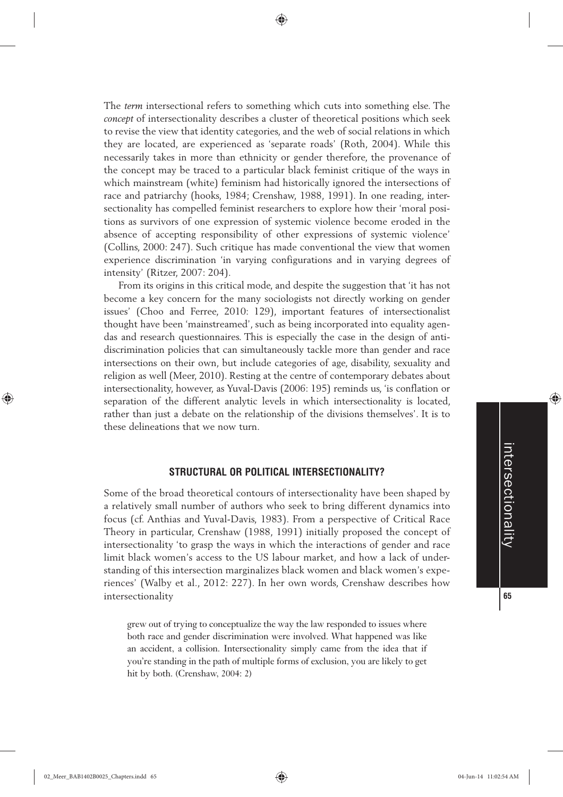The *term* intersectional refers to something which cuts into something else. The *concept* of intersectionality describes a cluster of theoretical positions which seek to revise the view that identity categories, and the web of social relations in which they are located, are experienced as 'separate roads' (Roth, 2004). While this necessarily takes in more than ethnicity or gender therefore, the provenance of the concept may be traced to a particular black feminist critique of the ways in which mainstream (white) feminism had historically ignored the intersections of race and patriarchy (hooks, 1984; Crenshaw, 1988, 1991). In one reading, intersectionality has compelled feminist researchers to explore how their 'moral positions as survivors of one expression of systemic violence become eroded in the absence of accepting responsibility of other expressions of systemic violence' (Collins, 2000: 247). Such critique has made conventional the view that women experience discrimination 'in varying configurations and in varying degrees of intensity' (Ritzer, 2007: 204).

From its origins in this critical mode, and despite the suggestion that 'it has not become a key concern for the many sociologists not directly working on gender issues' (Choo and Ferree, 2010: 129), important features of intersectionalist thought have been 'mainstreamed', such as being incorporated into equality agendas and research questionnaires. This is especially the case in the design of antidiscrimination policies that can simultaneously tackle more than gender and race intersections on their own, but include categories of age, disability, sexuality and religion as well (Meer, 2010). Resting at the centre of contemporary debates about intersectionality, however, as Yuval-Davis (2006: 195) reminds us, 'is conflation or separation of the different analytic levels in which intersectionality is located, rather than just a debate on the relationship of the divisions themselves'. It is to these delineations that we now turn.

# **STRUCTURAL OR POLITICAL INTERSECTIONALITY?**

Some of the broad theoretical contours of intersectionality have been shaped by a relatively small number of authors who seek to bring different dynamics into focus (cf. Anthias and Yuval-Davis, 1983). From a perspective of Critical Race Theory in particular, Crenshaw (1988, 1991) initially proposed the concept of intersectionality 'to grasp the ways in which the interactions of gender and race limit black women's access to the US labour market, and how a lack of understanding of this intersection marginalizes black women and black women's experiences' (Walby et al., 2012: 227). In her own words, Crenshaw describes how intersectionality

grew out of trying to conceptualize the way the law responded to issues where both race and gender discrimination were involved. What happened was like an accident, a collision. Intersectionality simply came from the idea that if you're standing in the path of multiple forms of exclusion, you are likely to get hit by both. (Crenshaw, 2004: 2)



◈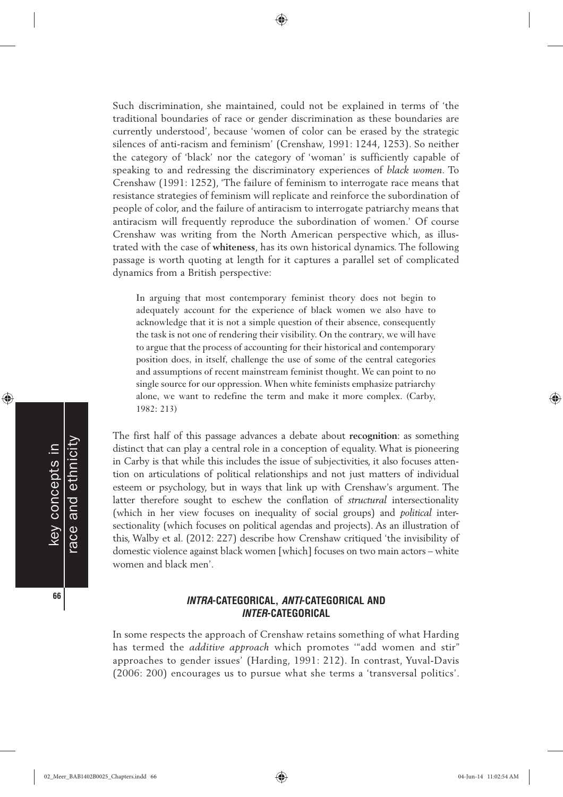Such discrimination, she maintained, could not be explained in terms of 'the traditional boundaries of race or gender discrimination as these boundaries are currently understood', because 'women of color can be erased by the strategic silences of anti-racism and feminism' (Crenshaw, 1991: 1244, 1253). So neither the category of 'black' nor the category of 'woman' is sufficiently capable of speaking to and redressing the discriminatory experiences of *black women*. To Crenshaw (1991: 1252), 'The failure of feminism to interrogate race means that resistance strategies of feminism will replicate and reinforce the subordination of people of color, and the failure of antiracism to interrogate patriarchy means that antiracism will frequently reproduce the subordination of women.' Of course Crenshaw was writing from the North American perspective which, as illustrated with the case of **whiteness**, has its own historical dynamics. The following passage is worth quoting at length for it captures a parallel set of complicated dynamics from a British perspective:

In arguing that most contemporary feminist theory does not begin to adequately account for the experience of black women we also have to acknowledge that it is not a simple question of their absence, consequently the task is not one of rendering their visibility. On the contrary, we will have to argue that the process of accounting for their historical and contemporary position does, in itself, challenge the use of some of the central categories and assumptions of recent mainstream feminist thought. We can point to no single source for our oppression. When white feminists emphasize patriarchy alone, we want to redefine the term and make it more complex. (Carby, 1982: 213)

The first half of this passage advances a debate about **recognition**: as something distinct that can play a central role in a conception of equality. What is pioneering in Carby is that while this includes the issue of subjectivities, it also focuses attention on articulations of political relationships and not just matters of individual esteem or psychology, but in ways that link up with Crenshaw's argument. The latter therefore sought to eschew the conflation of *structural* intersectionality (which in her view focuses on inequality of social groups) and *political* intersectionality (which focuses on political agendas and projects). As an illustration of this, Walby et al. (2012: 227) describe how Crenshaw critiqued 'the invisibility of domestic violence against black women [which] focuses on two main actors – white women and black men'.

# **INTRA-CATEGORICAL, ANTI-CATEGORICAL AND INTER-CATEGORICAL**

In some respects the approach of Crenshaw retains something of what Harding has termed the *additive approach* which promotes '"add women and stir" approaches to gender issues' (Harding, 1991: 212). In contrast, Yuval-Davis (2006: 200) encourages us to pursue what she terms a 'transversal politics'.

race and ethnicity race and ethnicity key concepts in key concepts in **66**

◈

♠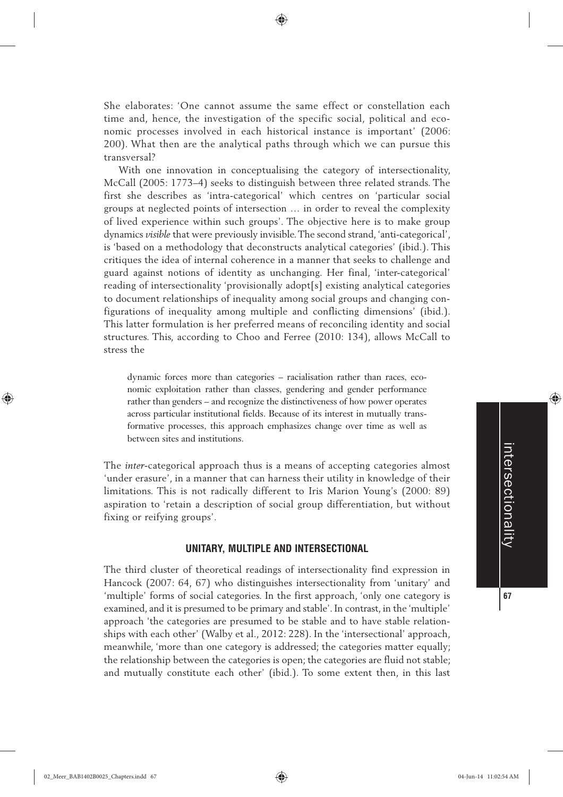She elaborates: 'One cannot assume the same effect or constellation each time and, hence, the investigation of the specific social, political and economic processes involved in each historical instance is important' (2006: 200). What then are the analytical paths through which we can pursue this transversal?

With one innovation in conceptualising the category of intersectionality, McCall (2005: 1773–4) seeks to distinguish between three related strands. The first she describes as 'intra-categorical' which centres on 'particular social groups at neglected points of intersection … in order to reveal the complexity of lived experience within such groups'. The objective here is to make group dynamics *visible* that were previously invisible. The second strand, 'anti-categorical', is 'based on a methodology that deconstructs analytical categories' (ibid.). This critiques the idea of internal coherence in a manner that seeks to challenge and guard against notions of identity as unchanging. Her final, 'inter-categorical' reading of intersectionality 'provisionally adopt[s] existing analytical categories to document relationships of inequality among social groups and changing configurations of inequality among multiple and conflicting dimensions' (ibid.). This latter formulation is her preferred means of reconciling identity and social structures. This, according to Choo and Ferree (2010: 134), allows McCall to stress the

dynamic forces more than categories – racialisation rather than races, economic exploitation rather than classes, gendering and gender performance rather than genders – and recognize the distinctiveness of how power operates across particular institutional fields. Because of its interest in mutually transformative processes, this approach emphasizes change over time as well as between sites and institutions.

The *inter*-categorical approach thus is a means of accepting categories almost 'under erasure', in a manner that can harness their utility in knowledge of their limitations. This is not radically different to Iris Marion Young's (2000: 89) aspiration to 'retain a description of social group differentiation, but without fixing or reifying groups'.

# **UNITARY, MULTIPLE AND INTERSECTIONAL**

The third cluster of theoretical readings of intersectionality find expression in Hancock (2007: 64, 67) who distinguishes intersectionality from 'unitary' and 'multiple' forms of social categories. In the first approach, 'only one category is examined, and it is presumed to be primary and stable'. In contrast, in the 'multiple' approach 'the categories are presumed to be stable and to have stable relationships with each other' (Walby et al., 2012: 228). In the 'intersectional' approach, meanwhile, 'more than one category is addressed; the categories matter equally; the relationship between the categories is open; the categories are fluid not stable; and mutually constitute each other' (ibid.). To some extent then, in this last

◈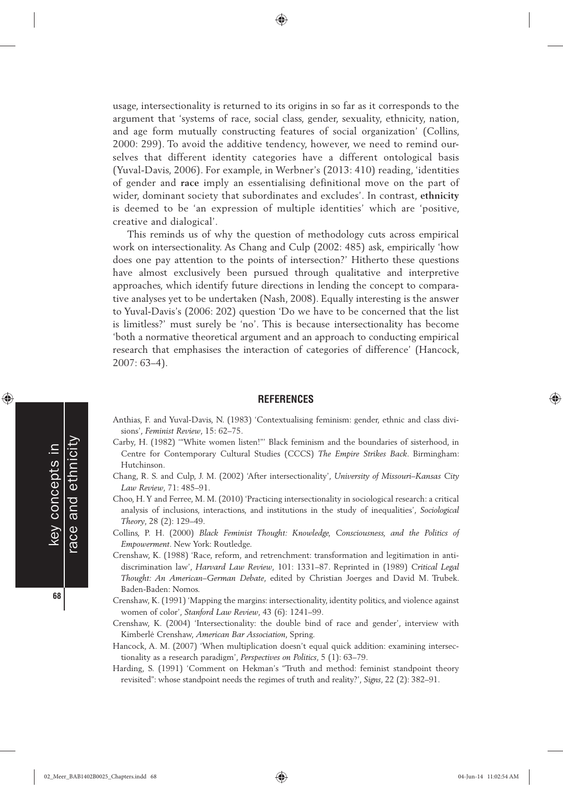usage, intersectionality is returned to its origins in so far as it corresponds to the argument that 'systems of race, social class, gender, sexuality, ethnicity, nation, and age form mutually constructing features of social organization' (Collins, 2000: 299). To avoid the additive tendency, however, we need to remind ourselves that different identity categories have a different ontological basis (Yuval-Davis, 2006). For example, in Werbner's (2013: 410) reading, 'identities of gender and **race** imply an essentialising definitional move on the part of wider, dominant society that subordinates and excludes'. In contrast, **ethnicity** is deemed to be 'an expression of multiple identities' which are 'positive, creative and dialogical'.

This reminds us of why the question of methodology cuts across empirical work on intersectionality. As Chang and Culp (2002: 485) ask, empirically 'how does one pay attention to the points of intersection?' Hitherto these questions have almost exclusively been pursued through qualitative and interpretive approaches, which identify future directions in lending the concept to comparative analyses yet to be undertaken (Nash, 2008). Equally interesting is the answer to Yuval-Davis's (2006: 202) question 'Do we have to be concerned that the list is limitless?' must surely be 'no'. This is because intersectionality has become 'both a normative theoretical argument and an approach to conducting empirical research that emphasises the interaction of categories of difference' (Hancock, 2007: 63–4).

#### **REFERENCES**

Anthias, F. and Yuval-Davis, N. (1983) 'Contextualising feminism: gender, ethnic and class divisions', *Feminist Review*, 15: 62–75.

- Carby, H. (1982) '"White women listen!"' Black feminism and the boundaries of sisterhood, in Centre for Contemporary Cultural Studies (CCCS) *The Empire Strikes Back*. Birmingham: Hutchinson.
- Chang, R. S. and Culp, J. M. (2002) 'After intersectionality', *University of Missouri–Kansas City Law Review*, 71: 485–91.
- Choo, H. Y and Ferree, M. M. (2010) 'Practicing intersectionality in sociological research: a critical analysis of inclusions, interactions, and institutions in the study of inequalities', *Sociological Theory*, 28 (2): 129–49.
- Collins, P. H. (2000) *Black Feminist Thought: Knowledge, Consciousness, and the Politics of Empowerment*. New York: Routledge.
- Crenshaw, K. (1988) 'Race, reform, and retrenchment: transformation and legitimation in antidiscrimination law', *Harvard Law Review*, 101: 1331–87. Reprinted in (1989) *Critical Legal Thought: An American–German Debate*, edited by Christian Joerges and David M. Trubek. Baden-Baden: Nomos.
- Crenshaw, K. (1991) 'Mapping the margins: intersectionality, identity politics, and violence against women of color', *Stanford Law Review*, 43 (6): 1241–99.
- Crenshaw, K. (2004) 'Intersectionality: the double bind of race and gender', interview with Kimberlé Crenshaw, *American Bar Association*, Spring.
- Hancock, A. M. (2007) 'When multiplication doesn't equal quick addition: examining intersectionality as a research paradigm', *Perspectives on Politics*, 5 (1): 63–79.
- Harding, S. (1991) 'Comment on Hekman's "Truth and method: feminist standpoint theory revisited": whose standpoint needs the regimes of truth and reality?', *Signs*, 22 (2): 382–91.

**68**

key concepts in

◈

race and ethnicity

ace and ethnicity key concepts in

♠